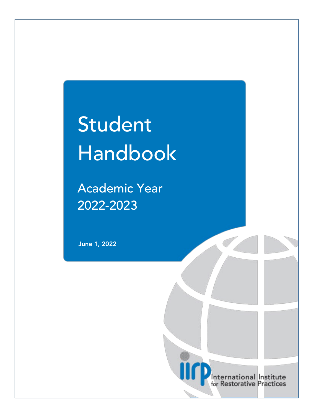# Student Handbook

Academic Year 2022-2023

June 1, 2022

International Institute for Restorative Practices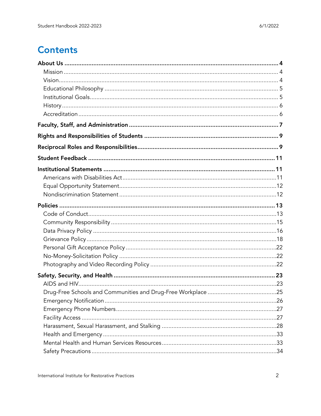# **Contents**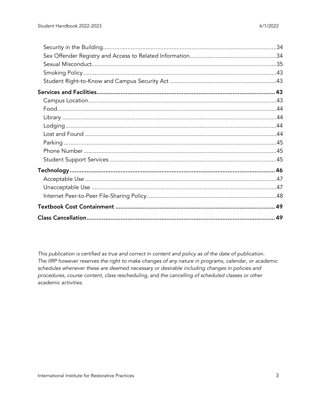This publication is certified as true and correct in content and policy as of the date of publication. The IIRP however reserves the right to make changes of any nature in programs, calendar, or academic schedules whenever these are deemed necessary or desirable including changes in policies and procedures, course content, class rescheduling, and the cancelling of scheduled classes or other academic activities.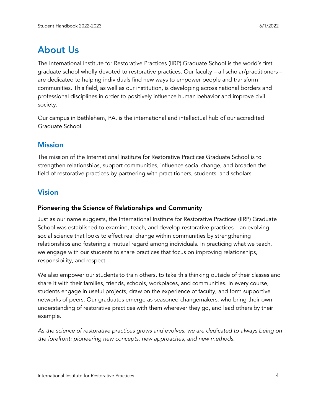# <span id="page-3-0"></span>About Us

The International Institute for Restorative Practices (IIRP) Graduate School is the world's first graduate school wholly devoted to restorative practices. Our faculty – all scholar/practitioners – are dedicated to helping individuals find new ways to empower people and transform communities. This field, as well as our institution, is developing across national borders and professional disciplines in order to positively influence human behavior and improve civil society.

Our campus in Bethlehem, PA, is the international and intellectual hub of our accredited Graduate School.

# <span id="page-3-1"></span>**Mission**

The mission of the International Institute for Restorative Practices Graduate School is to strengthen relationships, support communities, influence social change, and broaden the field of restorative practices by partnering with practitioners, students, and scholars.

# <span id="page-3-2"></span>Vision

#### Pioneering the Science of Relationships and Community

Just as our name suggests, the International Institute for Restorative Practices (IIRP) Graduate School was established to examine, teach, and develop restorative practices – an evolving social science that looks to effect real change within communities by strengthening relationships and fostering a mutual regard among individuals. In practicing what we teach, we engage with our students to share practices that focus on improving relationships, responsibility, and respect.

We also empower our students to train others, to take this thinking outside of their classes and share it with their families, friends, schools, workplaces, and communities. In every course, students engage in useful projects, draw on the experience of faculty, and form supportive networks of peers. Our graduates emerge as seasoned changemakers, who bring their own understanding of restorative practices with them wherever they go, and lead others by their example.

*As the science of restorative practices grows and evolves, we are dedicated to always being on the forefront: pioneering new concepts, new approaches, and new methods*.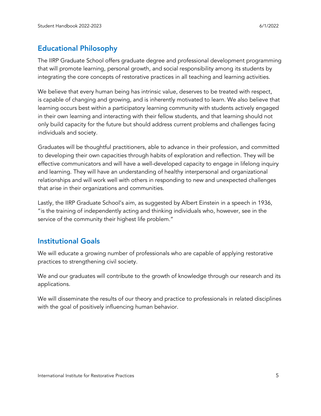# <span id="page-4-0"></span>Educational Philosophy

The IIRP Graduate School offers graduate degree and professional development programming that will promote learning, personal growth, and social responsibility among its students by integrating the core concepts of restorative practices in all teaching and learning activities.

We believe that every human being has intrinsic value, deserves to be treated with respect, is capable of changing and growing, and is inherently motivated to learn. We also believe that learning occurs best within a participatory learning community with students actively engaged in their own learning and interacting with their fellow students, and that learning should not only build capacity for the future but should address current problems and challenges facing individuals and society.

Graduates will be thoughtful practitioners, able to advance in their profession, and committed to developing their own capacities through habits of exploration and reflection. They will be effective communicators and will have a well-developed capacity to engage in lifelong inquiry and learning. They will have an understanding of healthy interpersonal and organizational relationships and will work well with others in responding to new and unexpected challenges that arise in their organizations and communities.

Lastly, the IIRP Graduate School's aim, as suggested by Albert Einstein in a speech in 1936, "is the training of independently acting and thinking individuals who, however, see in the service of the community their highest life problem."

# <span id="page-4-1"></span>Institutional Goals

We will educate a growing number of professionals who are capable of applying restorative practices to strengthening civil society.

We and our graduates will contribute to the growth of knowledge through our research and its applications.

We will disseminate the results of our theory and practice to professionals in related disciplines with the goal of positively influencing human behavior.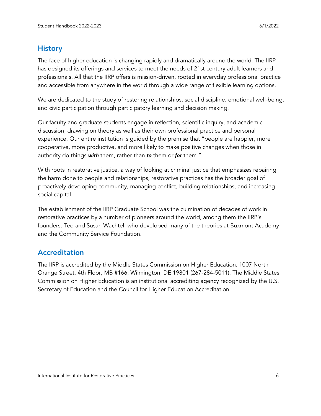# <span id="page-5-0"></span>**History**

The face of higher education is changing rapidly and dramatically around the world. The IIRP has designed its offerings and services to meet the needs of 21st century adult learners and professionals. All that the IIRP offers is mission-driven, rooted in everyday professional practice and accessible from anywhere in the world through a wide range of flexible learning options.

We are dedicated to the study of restoring relationships, social discipline, emotional well-being, and civic participation through participatory learning and decision making.

Our faculty and graduate students engage in reflection, scientific inquiry, and academic discussion, drawing on theory as well as their own professional practice and personal experience. Our entire institution is guided by the premise that "people are happier, more cooperative, more productive, and more likely to make positive changes when those in authority do things *with* them, rather than *to* them or *for* them."

With roots in restorative justice, a way of looking at criminal justice that emphasizes repairing the harm done to people and relationships, restorative practices has the broader goal of proactively developing community, managing conflict, building relationships, and increasing social capital.

The establishment of the IIRP Graduate School was the culmination of decades of work in restorative practices by a number of pioneers around the world, among them the IIRP's founders, Ted and Susan Wachtel, who developed many of the theories at Buxmont Academy and the Community Service Foundation.

# <span id="page-5-1"></span>Accreditation

The IIRP is accredited by the Middle States Commission on Higher Education, 1007 North Orange Street, 4th Floor, MB #166, Wilmington, DE 19801 (267-284-5011). The Middle States Commission on Higher Education is an institutional accrediting agency recognized by the U.S. Secretary of Education and the Council for Higher Education Accreditation.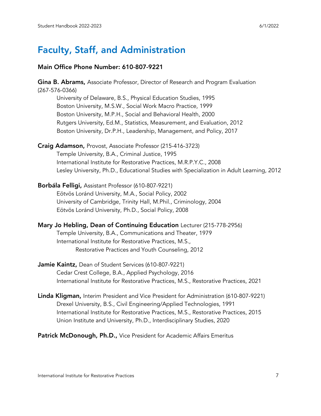# <span id="page-6-0"></span>Faculty, Staff, and Administration

#### Main Office Phone Number: 610-807-9221

Gina B. Abrams, Associate Professor, Director of Research and Program Evaluation (267-576-0366) University of Delaware, B.S., Physical Education Studies, 1995 Boston University, M.S.W., Social Work Macro Practice, 1999 Boston University, M.P.H., Social and Behavioral Health, 2000 Rutgers University, Ed.M., Statistics, Measurement, and Evaluation, 2012 Boston University, Dr.P.H., Leadership, Management, and Policy, 2017 Craig Adamson, Provost, Associate Professor (215-416-3723) Temple University, B.A., Criminal Justice, 1995 International Institute for Restorative Practices, M.R.P.Y.C., 2008 Lesley University, Ph.D., Educational Studies with Specialization in Adult Learning, 2012 Borbála Felligi, Assistant Professor (610-807-9221) Eötvös Loránd University, M.A., Social Policy, 2002 University of Cambridge, Trinity Hall, M.Phil., Criminology, 2004 Eötvös Loránd University, Ph.D., Social Policy, 2008 Mary Jo Hebling, Dean of Continuing Education Lecturer (215-778-2956) Temple University, B.A., Communications and Theater, 1979 International Institute for Restorative Practices, M.S., Restorative Practices and Youth Counseling, 2012 Jamie Kaintz, Dean of Student Services (610-807-9221) Cedar Crest College, B.A., Applied Psychology, 2016 International Institute for Restorative Practices, M.S., Restorative Practices, 2021 Linda Kligman, Interim President and Vice President for Administration (610-807-9221)

- Drexel University, B.S., Civil Engineering/Applied Technologies, 1991 International Institute for Restorative Practices, M.S., Restorative Practices, 2015 Union Institute and University, Ph.D., Interdisciplinary Studies, 2020
- Patrick McDonough, Ph.D., Vice President for Academic Affairs Emeritus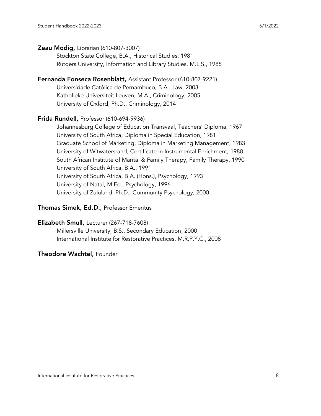#### **Zeau Modig, Librarian (610-807-3007)**

Stockton State College, B.A., Historical Studies, 1981 Rutgers University, Information and Library Studies, M.L.S., 1985

# Fernanda Fonseca Rosenblatt, Assistant Professor (610-807-9221)

Universidade Católica de Pernambuco, B.A., Law, 2003 Katholieke Universiteit Leuven, M.A., Criminology, 2005 University of Oxford, Ph.D., Criminology, 2014

#### Frida Rundell, Professor (610-694-9936)

Johannesburg College of Education Transvaal, Teachers' Diploma, 1967 University of South Africa, Diploma in Special Education, 1981 Graduate School of Marketing, Diploma in Marketing Management, 1983 University of Witwatersrand, Certificate in Instrumental Enrichment, 1988 South African Institute of Marital & Family Therapy, Family Therapy, 1990 University of South Africa, B.A., 1991 University of South Africa, B.A. (Hons.), Psychology, 1993 University of Natal, M.Ed., Psychology, 1996 University of Zululand, Ph.D., Community Psychology, 2000

#### Thomas Simek, Ed.D., Professor Emeritus

#### Elizabeth Smull, Lecturer (267-718-7608)

Millersville University, B.S., Secondary Education, 2000 International Institute for Restorative Practices, M.R.P.Y.C., 2008

#### Theodore Wachtel, Founder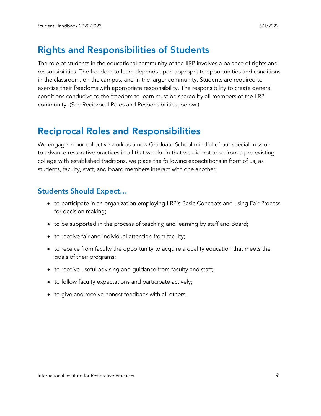# <span id="page-8-0"></span>Rights and Responsibilities of Students

The role of students in the educational community of the IIRP involves a balance of rights and responsibilities. The freedom to learn depends upon appropriate opportunities and conditions in the classroom, on the campus, and in the larger community. Students are required to exercise their freedoms with appropriate responsibility. The responsibility to create general conditions conducive to the freedom to learn must be shared by all members of the IIRP community. (See Reciprocal Roles and Responsibilities, below.)

# <span id="page-8-1"></span>Reciprocal Roles and Responsibilities

We engage in our collective work as a new Graduate School mindful of our special mission to advance restorative practices in all that we do. In that we did not arise from a pre-existing college with established traditions, we place the following expectations in front of us, as students, faculty, staff, and board members interact with one another:

### Students Should Expect…

- to participate in an organization employing IIRP's Basic Concepts and using Fair Process for decision making;
- to be supported in the process of teaching and learning by staff and Board;
- to receive fair and individual attention from faculty;
- to receive from faculty the opportunity to acquire a quality education that meets the goals of their programs;
- to receive useful advising and guidance from faculty and staff;
- to follow faculty expectations and participate actively;
- to give and receive honest feedback with all others.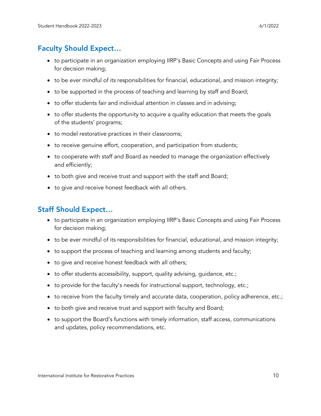# Faculty Should Expect…

- to participate in an organization employing IIRP's Basic Concepts and using Fair Process for decision making;
- to be ever mindful of its responsibilities for financial, educational, and mission integrity;
- to be supported in the process of teaching and learning by staff and Board;
- to offer students fair and individual attention in classes and in advising;
- to offer students the opportunity to acquire a quality education that meets the goals of the students' programs;
- to model restorative practices in their classrooms;
- to receive genuine effort, cooperation, and participation from students;
- to cooperate with staff and Board as needed to manage the organization effectively and efficiently;
- to both give and receive trust and support with the staff and Board;
- to give and receive honest feedback with all others.

# Staff Should Expect…

- to participate in an organization employing IIRP's Basic Concepts and using Fair Process for decision making;
- to be ever mindful of its responsibilities for financial, educational, and mission integrity;
- to support the process of teaching and learning among students and faculty;
- to give and receive honest feedback with all others;
- to offer students accessibility, support, quality advising, guidance, etc.;
- to provide for the faculty's needs for instructional support, technology, etc.;
- to receive from the faculty timely and accurate data, cooperation, policy adherence, etc.;
- to both give and receive trust and support with faculty and Board;
- to support the Board's functions with timely information, staff access, communications and updates, policy recommendations, etc.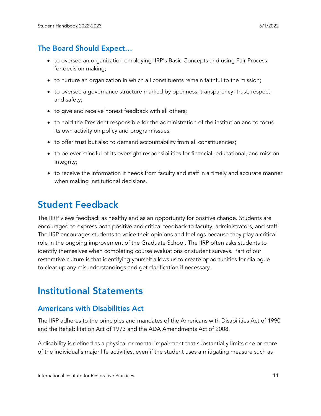# The Board Should Expect…

- to oversee an organization employing IIRP's Basic Concepts and using Fair Process for decision making;
- to nurture an organization in which all constituents remain faithful to the mission;
- to oversee a governance structure marked by openness, transparency, trust, respect, and safety;
- to give and receive honest feedback with all others;
- to hold the President responsible for the administration of the institution and to focus its own activity on policy and program issues;
- to offer trust but also to demand accountability from all constituencies;
- to be ever mindful of its oversight responsibilities for financial, educational, and mission integrity;
- to receive the information it needs from faculty and staff in a timely and accurate manner when making institutional decisions.

# <span id="page-10-0"></span>Student Feedback

The IIRP views feedback as healthy and as an opportunity for positive change. Students are encouraged to express both positive and critical feedback to faculty, administrators, and staff. The IIRP encourages students to voice their opinions and feelings because they play a critical role in the ongoing improvement of the Graduate School. The IIRP often asks students to identify themselves when completing course evaluations or student surveys. Part of our restorative culture is that identifying yourself allows us to create opportunities for dialogue to clear up any misunderstandings and get clarification if necessary.  

# <span id="page-10-1"></span>Institutional Statements

# <span id="page-10-2"></span>Americans with Disabilities Act

The IIRP adheres to the principles and mandates of the Americans with Disabilities Act of 1990 and the Rehabilitation Act of 1973 and the ADA Amendments Act of 2008.

A disability is defined as a physical or mental impairment that substantially limits one or more of the individual's major life activities, even if the student uses a mitigating measure such as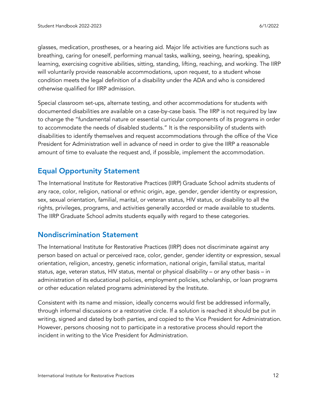glasses, medication, prostheses, or a hearing aid. Major life activities are functions such as breathing, caring for oneself, performing manual tasks, walking, seeing, hearing, speaking, learning, exercising cognitive abilities, sitting, standing, lifting, reaching, and working. The IIRP will voluntarily provide reasonable accommodations, upon request, to a student whose condition meets the legal definition of a disability under the ADA and who is considered otherwise qualified for IIRP admission.

Special classroom set-ups, alternate testing, and other accommodations for students with documented disabilities are available on a case-by-case basis. The IIRP is not required by law to change the "fundamental nature or essential curricular components of its programs in order to accommodate the needs of disabled students." It is the responsibility of students with disabilities to identify themselves and request accommodations through the office of the Vice President for Administration well in advance of need in order to give the IIRP a reasonable amount of time to evaluate the request and, if possible, implement the accommodation.

# <span id="page-11-0"></span>Equal Opportunity Statement

The International Institute for Restorative Practices (IIRP) Graduate School admits students of any race, color, religion, national or ethnic origin, age, gender, gender identity or expression, sex, sexual orientation, familial, marital, or veteran status, HIV status, or disability to all the rights, privileges, programs, and activities generally accorded or made available to students. The IIRP Graduate School admits students equally with regard to these categories.

### <span id="page-11-1"></span>Nondiscrimination Statement

The International Institute for Restorative Practices (IIRP) does not discriminate against any person based on actual or perceived race, color, gender, gender identity or expression, sexual orientation, religion, ancestry, genetic information, national origin, familial status, marital status, age, veteran status, HIV status, mental or physical disability – or any other basis – in administration of its educational policies, employment policies, scholarship, or loan programs or other education related programs administered by the Institute.

Consistent with its name and mission, ideally concerns would first be addressed informally, through informal discussions or a restorative circle. If a solution is reached it should be put in writing, signed and dated by both parties, and copied to the Vice President for Administration. However, persons choosing not to participate in a restorative process should report the incident in writing to the Vice President for Administration.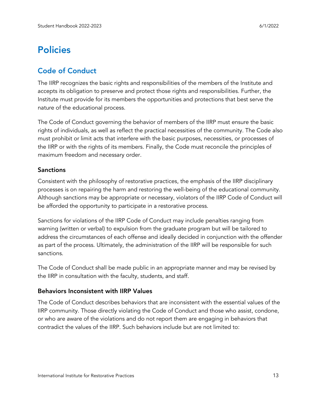# <span id="page-12-0"></span>**Policies**

# <span id="page-12-1"></span>Code of Conduct

The IIRP recognizes the basic rights and responsibilities of the members of the Institute and accepts its obligation to preserve and protect those rights and responsibilities. Further, the Institute must provide for its members the opportunities and protections that best serve the nature of the educational process.

The Code of Conduct governing the behavior of members of the IIRP must ensure the basic rights of individuals, as well as reflect the practical necessities of the community. The Code also must prohibit or limit acts that interfere with the basic purposes, necessities, or processes of the IIRP or with the rights of its members. Finally, the Code must reconcile the principles of maximum freedom and necessary order.

#### Sanctions

Consistent with the philosophy of restorative practices, the emphasis of the IIRP disciplinary processes is on repairing the harm and restoring the well-being of the educational community. Although sanctions may be appropriate or necessary, violators of the IIRP Code of Conduct will be afforded the opportunity to participate in a restorative process.

Sanctions for violations of the IIRP Code of Conduct may include penalties ranging from warning (written or verbal) to expulsion from the graduate program but will be tailored to address the circumstances of each offense and ideally decided in conjunction with the offender as part of the process. Ultimately, the administration of the IIRP will be responsible for such sanctions.

The Code of Conduct shall be made public in an appropriate manner and may be revised by the IIRP in consultation with the faculty, students, and staff.

#### Behaviors Inconsistent with IIRP Values

The Code of Conduct describes behaviors that are inconsistent with the essential values of the IIRP community. Those directly violating the Code of Conduct and those who assist, condone, or who are aware of the violations and do not report them are engaging in behaviors that contradict the values of the IIRP. Such behaviors include but are not limited to: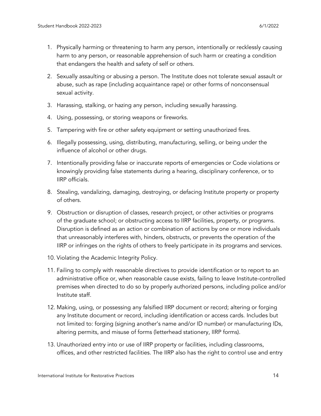- 1. Physically harming or threatening to harm any person, intentionally or recklessly causing harm to any person, or reasonable apprehension of such harm or creating a condition that endangers the health and safety of self or others.
- 2. Sexually assaulting or abusing a person. The Institute does not tolerate sexual assault or abuse, such as rape (including acquaintance rape) or other forms of nonconsensual sexual activity.
- 3. Harassing, stalking, or hazing any person, including sexually harassing.
- 4. Using, possessing, or storing weapons or fireworks.
- 5. Tampering with fire or other safety equipment or setting unauthorized fires.
- 6. Illegally possessing, using, distributing, manufacturing, selling, or being under the influence of alcohol or other drugs.
- 7. Intentionally providing false or inaccurate reports of emergencies or Code violations or knowingly providing false statements during a hearing, disciplinary conference, or to IIRP officials.
- 8. Stealing, vandalizing, damaging, destroying, or defacing Institute property or property of others.
- 9. Obstruction or disruption of classes, research project, or other activities or programs of the graduate school; or obstructing access to IIRP facilities, property, or programs. Disruption is defined as an action or combination of actions by one or more individuals that unreasonably interferes with, hinders, obstructs, or prevents the operation of the IIRP or infringes on the rights of others to freely participate in its programs and services.
- 10. Violating the Academic Integrity Policy.
- 11. Failing to comply with reasonable directives to provide identification or to report to an administrative office or, when reasonable cause exists, failing to leave Institute-controlled premises when directed to do so by properly authorized persons, including police and/or Institute staff.
- 12. Making, using, or possessing any falsified IIRP document or record; altering or forging any Institute document or record, including identification or access cards. Includes but not limited to: forging (signing another's name and/or ID number) or manufacturing IDs, altering permits, and misuse of forms (letterhead stationery, IIRP forms).
- 13. Unauthorized entry into or use of IIRP property or facilities, including classrooms, offices, and other restricted facilities. The IIRP also has the right to control use and entry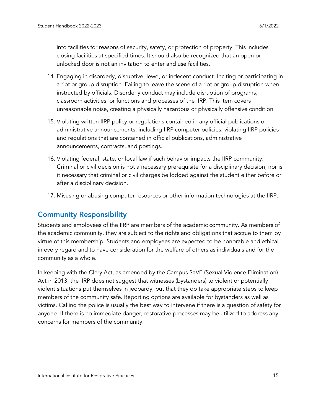into facilities for reasons of security, safety, or protection of property. This includes closing facilities at specified times. It should also be recognized that an open or unlocked door is not an invitation to enter and use facilities.

- 14. Engaging in disorderly, disruptive, lewd, or indecent conduct. Inciting or participating in a riot or group disruption. Failing to leave the scene of a riot or group disruption when instructed by officials. Disorderly conduct may include disruption of programs, classroom activities, or functions and processes of the IIRP. This item covers unreasonable noise, creating a physically hazardous or physically offensive condition.
- 15. Violating written IIRP policy or regulations contained in any official publications or administrative announcements, including IIRP computer policies; violating IIRP policies and regulations that are contained in official publications, administrative announcements, contracts, and postings.
- 16. Violating federal, state, or local law if such behavior impacts the IIRP community. Criminal or civil decision is not a necessary prerequisite for a disciplinary decision, nor is it necessary that criminal or civil charges be lodged against the student either before or after a disciplinary decision.
- 17. Misusing or abusing computer resources or other information technologies at the IIRP.

# <span id="page-14-0"></span>Community Responsibility

Students and employees of the IIRP are members of the academic community. As members of the academic community, they are subject to the rights and obligations that accrue to them by virtue of this membership. Students and employees are expected to be honorable and ethical in every regard and to have consideration for the welfare of others as individuals and for the community as a whole.

In keeping with the Clery Act, as amended by the Campus SaVE (Sexual Violence Elimination) Act in 2013, the IIRP does not suggest that witnesses (bystanders) to violent or potentially violent situations put themselves in jeopardy, but that they do take appropriate steps to keep members of the community safe. Reporting options are available for bystanders as well as victims. Calling the police is usually the best way to intervene if there is a question of safety for anyone. If there is no immediate danger, restorative processes may be utilized to address any concerns for members of the community.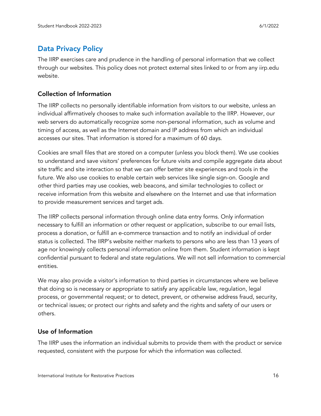# <span id="page-15-0"></span>Data Privacy Policy

The IIRP exercises care and prudence in the handling of personal information that we collect through our websites. This policy does not protect external sites linked to or from any iirp.edu website.

#### Collection of Information

The IIRP collects no personally identifiable information from visitors to our website, unless an individual affirmatively chooses to make such information available to the IIRP. However, our web servers do automatically recognize some non-personal information, such as volume and timing of access, as well as the Internet domain and IP address from which an individual accesses our sites. That information is stored for a maximum of 60 days.

Cookies are small files that are stored on a computer (unless you block them). We use cookies to understand and save visitors' preferences for future visits and compile aggregate data about site traffic and site interaction so that we can offer better site experiences and tools in the future. We also use cookies to enable certain web services like single sign-on. Google and other third parties may use cookies, web beacons, and similar technologies to collect or receive information from this website and elsewhere on the Internet and use that information to provide measurement services and target ads.

The IIRP collects personal information through online data entry forms. Only information necessary to fulfill an information or other request or application, subscribe to our email lists, process a donation, or fulfill an e-commerce transaction and to notify an individual of order status is collected. The IIRP's website neither markets to persons who are less than 13 years of age nor knowingly collects personal information online from them. Student information is kept confidential pursuant to federal and state regulations. We will not sell information to commercial entities.

We may also provide a visitor's information to third parties in circumstances where we believe that doing so is necessary or appropriate to satisfy any applicable law, regulation, legal process, or governmental request; or to detect, prevent, or otherwise address fraud, security, or technical issues; or protect our rights and safety and the rights and safety of our users or others.

### Use of Information

The IIRP uses the information an individual submits to provide them with the product or service requested, consistent with the purpose for which the information was collected.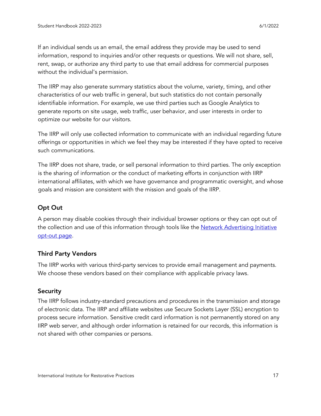If an individual sends us an email, the email address they provide may be used to send information, respond to inquiries and/or other requests or questions. We will not share, sell, rent, swap, or authorize any third party to use that email address for commercial purposes without the individual's permission.

The IIRP may also generate summary statistics about the volume, variety, timing, and other characteristics of our web traffic in general, but such statistics do not contain personally identifiable information. For example, we use third parties such as Google Analytics to generate reports on site usage, web traffic, user behavior, and user interests in order to optimize our website for our visitors.

The IIRP will only use collected information to communicate with an individual regarding future offerings or opportunities in which we feel they may be interested if they have opted to receive such communications.

The IIRP does not share, trade, or sell personal information to third parties. The only exception is the sharing of information or the conduct of marketing efforts in conjunction with IIRP international affiliates, with which we have governance and programmatic oversight, and whose goals and mission are consistent with the mission and goals of the IIRP.

### Opt Out

A person may disable cookies through their individual browser options or they can opt out of the collection and use of this information through tools like the Network [Advertising](http://optout.networkadvertising.org/?c=1) Initiative [opt-out](http://optout.networkadvertising.org/?c=1) page.

#### Third Party Vendors

The IIRP works with various third-party services to provide email management and payments. We choose these vendors based on their compliance with applicable privacy laws.

#### **Security**

The IIRP follows industry-standard precautions and procedures in the transmission and storage of electronic data. The IIRP and affiliate websites use Secure Sockets Layer (SSL) encryption to process secure information. Sensitive credit card information is not permanently stored on any IIRP web server, and although order information is retained for our records, this information is not shared with other companies or persons.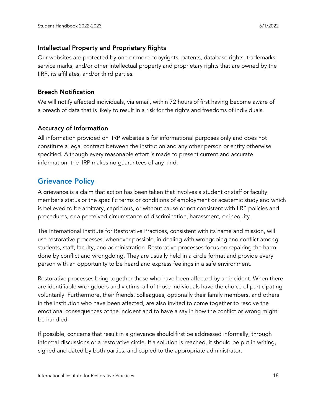#### Intellectual Property and Proprietary Rights

Our websites are protected by one or more copyrights, patents, database rights, trademarks, service marks, and/or other intellectual property and proprietary rights that are owned by the IIRP, its affiliates, and/or third parties.

#### Breach Notification

We will notify affected individuals, via email, within 72 hours of first having become aware of a breach of data that is likely to result in a risk for the rights and freedoms of individuals.

#### Accuracy of Information

All information provided on IIRP websites is for informational purposes only and does not constitute a legal contract between the institution and any other person or entity otherwise specified. Although every reasonable effort is made to present current and accurate information, the IIRP makes no guarantees of any kind.

# <span id="page-17-0"></span>Grievance Policy

A grievance is a claim that action has been taken that involves a student or staff or faculty member's status or the specific terms or conditions of employment or academic study and which is believed to be arbitrary, capricious, or without cause or not consistent with IIRP policies and procedures, or a perceived circumstance of discrimination, harassment, or inequity.

The International Institute for Restorative Practices, consistent with its name and mission, will use restorative processes, whenever possible, in dealing with wrongdoing and conflict among students, staff, faculty, and administration. Restorative processes focus on repairing the harm done by conflict and wrongdoing. They are usually held in a circle format and provide every person with an opportunity to be heard and express feelings in a safe environment.

Restorative processes bring together those who have been affected by an incident. When there are identifiable wrongdoers and victims, all of those individuals have the choice of participating voluntarily. Furthermore, their friends, colleagues, optionally their family members, and others in the institution who have been affected, are also invited to come together to resolve the emotional consequences of the incident and to have a say in how the conflict or wrong might be handled.

If possible, concerns that result in a grievance should first be addressed informally, through informal discussions or a restorative circle. If a solution is reached, it should be put in writing, signed and dated by both parties, and copied to the appropriate administrator.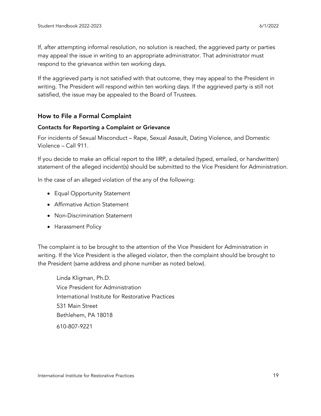If, after attempting informal resolution, no solution is reached, the aggrieved party or parties may appeal the issue in writing to an appropriate administrator. That administrator must respond to the grievance within ten working days.

If the aggrieved party is not satisfied with that outcome, they may appeal to the President in writing. The President will respond within ten working days. If the aggrieved party is still not satisfied, the issue may be appealed to the Board of Trustees.

#### How to File a Formal Complaint

#### Contacts for Reporting a Complaint or Grievance

For incidents of Sexual Misconduct – Rape, Sexual Assault, Dating Violence, and Domestic Violence – Call 911.

If you decide to make an official report to the IIRP, a detailed (typed, emailed, or handwritten) statement of the alleged incident(s) should be submitted to the Vice President for Administration.

In the case of an alleged violation of the any of the following:

- Equal Opportunity Statement
- Affirmative Action Statement
- Non-Discrimination Statement
- Harassment Policy

The complaint is to be brought to the attention of the Vice President for Administration in writing. If the Vice President is the alleged violator, then the complaint should be brought to the President (same address and phone number as noted below).

Linda Kligman, Ph.D. Vice President for Administration International Institute for Restorative Practices 531 Main Street Bethlehem, PA 18018 610-807-9221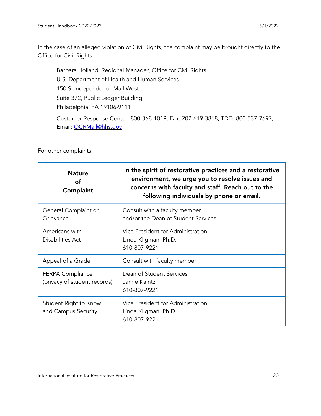In the case of an alleged violation of Civil Rights, the complaint may be brought directly to the Office for Civil Rights:

Barbara Holland, Regional Manager, Office for Civil Rights U.S. Department of Health and Human Services 150 S. Independence Mall West Suite 372, Public Ledger Building Philadelphia, PA 19106-9111

Customer Response Center: 800-368-1019; Fax: 202-619-3818; TDD: 800-537-7697; Email: [OCRMail@hhs.gov](mailto:OCRMail@hhs.gov)

For other complaints:

| <b>Nature</b><br>of<br>Complaint                        | In the spirit of restorative practices and a restorative<br>environment, we urge you to resolve issues and<br>concerns with faculty and staff. Reach out to the<br>following individuals by phone or email. |
|---------------------------------------------------------|-------------------------------------------------------------------------------------------------------------------------------------------------------------------------------------------------------------|
| General Complaint or<br>Grievance                       | Consult with a faculty member<br>and/or the Dean of Student Services                                                                                                                                        |
| Americans with<br>Disabilities Act                      | Vice President for Administration<br>Linda Kligman, Ph.D.<br>610-807-9221                                                                                                                                   |
| Appeal of a Grade                                       | Consult with faculty member                                                                                                                                                                                 |
| <b>FERPA Compliance</b><br>(privacy of student records) | Dean of Student Services<br>Jamie Kaintz<br>610-807-9221                                                                                                                                                    |
| Student Right to Know<br>and Campus Security            | Vice President for Administration<br>Linda Kligman, Ph.D.<br>610-807-9221                                                                                                                                   |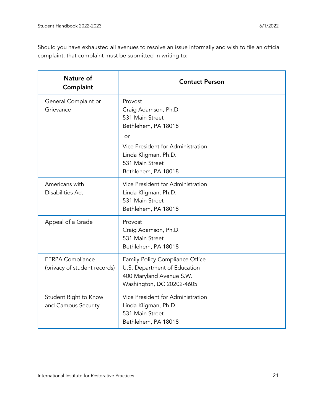Should you have exhausted all avenues to resolve an issue informally and wish to file an official complaint, that complaint must be submitted in writing to:

| Nature of<br>Complaint                                  | <b>Contact Person</b>                                                                                                                                                                  |  |
|---------------------------------------------------------|----------------------------------------------------------------------------------------------------------------------------------------------------------------------------------------|--|
| General Complaint or<br>Grievance                       | Provost<br>Craig Adamson, Ph.D.<br>531 Main Street<br>Bethlehem, PA 18018<br>or<br>Vice President for Administration<br>Linda Kligman, Ph.D.<br>531 Main Street<br>Bethlehem, PA 18018 |  |
| Americans with<br><b>Disabilities Act</b>               | Vice President for Administration<br>Linda Kligman, Ph.D.<br>531 Main Street<br>Bethlehem, PA 18018                                                                                    |  |
| Appeal of a Grade                                       | Provost<br>Craig Adamson, Ph.D.<br>531 Main Street<br>Bethlehem, PA 18018                                                                                                              |  |
| <b>FERPA Compliance</b><br>(privacy of student records) | Family Policy Compliance Office<br>U.S. Department of Education<br>400 Maryland Avenue S.W.<br>Washington, DC 20202-4605                                                               |  |
| Student Right to Know<br>and Campus Security            | Vice President for Administration<br>Linda Kligman, Ph.D.<br>531 Main Street<br>Bethlehem, PA 18018                                                                                    |  |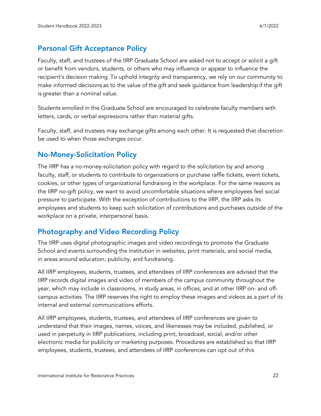# <span id="page-21-0"></span>Personal Gift Acceptance Policy

Faculty, staff, and trustees of the IIRP Graduate School are asked not to accept or solicit a gift or benefit from vendors, students, or others who may influence or appear to influence the recipient's decision making. To uphold integrity and transparency, we rely on our community to make informed decisions as to the value of the gift and seek guidance from leadership if the gift is greater than a nominal value.

Students enrolled in the Graduate School are encouraged to celebrate faculty members with letters, cards, or verbal expressions rather than material gifts.  

Faculty, staff, and trustees may exchange gifts among each other. It is requested that discretion be used to when those exchanges occur.

# <span id="page-21-1"></span>No-Money-Solicitation Policy

The IIRP has a no-money-solicitation policy with regard to the solicitation by and among faculty, staff, or students to contribute to organizations or purchase raffle tickets, event tickets, cookies, or other types of organizational fundraising in the workplace. For the same reasons as the IIRP no-gift policy, we want to avoid uncomfortable situations where employees feel social pressure to participate. With the exception of contributions to the IIRP, the IIRP asks its employees and students to keep such solicitation of contributions and purchases outside of the workplace on a private, interpersonal basis.

# <span id="page-21-2"></span>Photography and Video Recording Policy

The IIRP uses digital photographic images and video recordings to promote the Graduate School and events surrounding the institution in websites, print materials, and social media, in areas around education, publicity, and fundraising.

All IIRP employees, students, trustees, and attendees of IIRP conferences are advised that the IIRP records digital images and video of members of the campus community throughout the year, which may include in classrooms, in study areas, in offices, and at other IIRP on- and offcampus activities. The IIRP reserves the right to employ these images and videos as a part of its internal and external communications efforts.

All IIRP employees, students, trustees, and attendees of IIRP conferences are given to understand that their images, names, voices, and likenesses may be included, published, or used in perpetuity in IIRP publications, including print, broadcast, social, and/or other electronic media for publicity or marketing purposes. Procedures are established so that IIRP employees, students, trustees, and attendees of IIRP conferences can opt out of this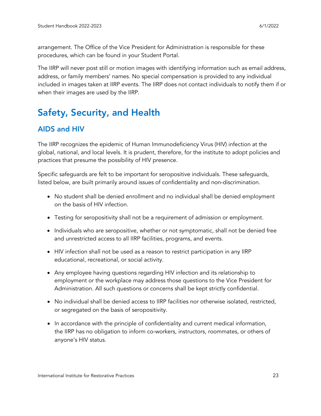arrangement. The Office of the Vice President for Administration is responsible for these procedures, which can be found in your Student Portal.

The IIRP will never post still or motion images with identifying information such as email address, address, or family members' names. No special compensation is provided to any individual included in images taken at IIRP events. The IIRP does not contact individuals to notify them if or when their images are used by the IIRP.

# <span id="page-22-0"></span>Safety, Security, and Health

# <span id="page-22-1"></span>AIDS and HIV

The IIRP recognizes the epidemic of Human Immunodeficiency Virus (HIV) infection at the global, national, and local levels. It is prudent, therefore, for the institute to adopt policies and practices that presume the possibility of HIV presence.

Specific safeguards are felt to be important for seropositive individuals. These safeguards, listed below, are built primarily around issues of confidentiality and non-discrimination.

- No student shall be denied enrollment and no individual shall be denied employment on the basis of HIV infection.
- Testing for seropositivity shall not be a requirement of admission or employment.
- Individuals who are seropositive, whether or not symptomatic, shall not be denied free and unrestricted access to all IIRP facilities, programs, and events.
- HIV infection shall not be used as a reason to restrict participation in any IIRP educational, recreational, or social activity.
- Any employee having questions regarding HIV infection and its relationship to employment or the workplace may address those questions to the Vice President for Administration. All such questions or concerns shall be kept strictly confidential.
- No individual shall be denied access to IIRP facilities nor otherwise isolated, restricted, or segregated on the basis of seropositivity.
- In accordance with the principle of confidentiality and current medical information, the IIRP has no obligation to inform co-workers, instructors, roommates, or others of anyone's HIV status.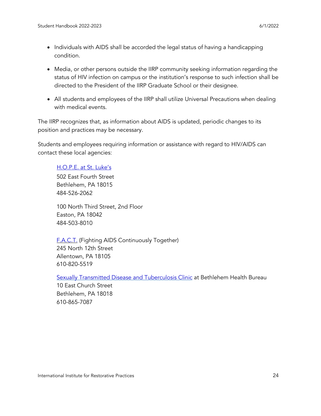- Individuals with AIDS shall be accorded the legal status of having a handicapping condition.
- Media, or other persons outside the IIRP community seeking information regarding the status of HIV infection on campus or the institution's response to such infection shall be directed to the President of the IIRP Graduate School or their designee.
- All students and employees of the IIRP shall utilize Universal Precautions when dealing with medical events.

The IIRP recognizes that, as information about AIDS is updated, periodic changes to its position and practices may be necessary.

Students and employees requiring information or assistance with regard to HIV/AIDS can contact these local agencies:

#### [H.O.P.E.](https://www.slhn.org/community-health/community-health-initiatives/hope-center) at St. Luke's

502 East Fourth Street Bethlehem, PA 18015 484-526-2062

100 North Third Street, 2nd Floor Easton, PA 18042 484-503-8010

[F.A.C.T.](http://www.factlv.org/) (Fighting AIDS Continuously Together) 245 North 12th Street Allentown, PA 18105 610-820-5519

Sexually Transmitted Disease and [Tuberculosis](https://www.bethlehem-pa.gov/health/communicable/hivstds.html) Clinic at Bethlehem Health Bureau

10 East Church Street Bethlehem, PA 18018 610-865-7087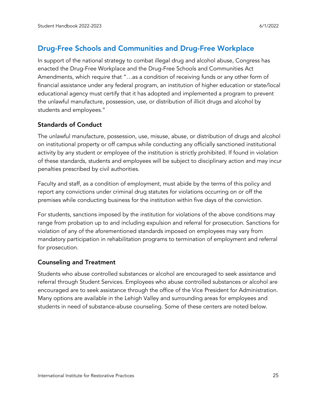# <span id="page-24-0"></span>Drug-Free Schools and Communities and Drug-Free Workplace

In support of the national strategy to combat illegal drug and alcohol abuse, Congress has enacted the Drug-Free Workplace and the Drug-Free Schools and Communities Act Amendments, which require that "…as a condition of receiving funds or any other form of financial assistance under any federal program, an institution of higher education or state/local educational agency must certify that it has adopted and implemented a program to prevent the unlawful manufacture, possession, use, or distribution of illicit drugs and alcohol by students and employees."

#### Standards of Conduct

The unlawful manufacture, possession, use, misuse, abuse, or distribution of drugs and alcohol on institutional property or off campus while conducting any officially sanctioned institutional activity by any student or employee of the institution is strictly prohibited. If found in violation of these standards, students and employees will be subject to disciplinary action and may incur penalties prescribed by civil authorities.

Faculty and staff, as a condition of employment, must abide by the terms of this policy and report any convictions under criminal drug statutes for violations occurring on or off the premises while conducting business for the institution within five days of the conviction.

For students, sanctions imposed by the institution for violations of the above conditions may range from probation up to and including expulsion and referral for prosecution. Sanctions for violation of any of the aforementioned standards imposed on employees may vary from mandatory participation in rehabilitation programs to termination of employment and referral for prosecution.

#### Counseling and Treatment

Students who abuse controlled substances or alcohol are encouraged to seek assistance and referral through Student Services. Employees who abuse controlled substances or alcohol are encouraged are to seek assistance through the office of the Vice President for Administration. Many options are available in the Lehigh Valley and surrounding areas for employees and students in need of substance-abuse counseling. Some of these centers are noted below.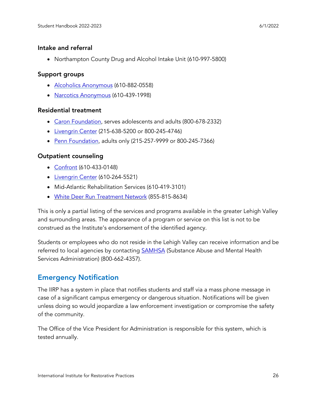#### Intake and referral

• Northampton County Drug and Alcohol Intake Unit (610-997-5800)

#### Support groups

- Alcoholics [Anonymous](https://www.aalv.org/) (610-882-0558)
- Narcotics [Anonymous](https://www.na.org/) (610-439-1998)

#### Residential treatment

- Caron [Foundation,](https://www.caron.org/locations/caron-pennsylvania) serves adolescents and adults (800-678-2332)
- [Livengrin](https://www.livengrin.org/) Center (215-638-5200 or 800-245-4746)
- Penn [Foundation,](https://www.pennfoundation.org/) adults only (215-257-9999 or 800-245-7366)

#### Outpatient counseling

- [Confront](http://www.treatmenttrends.org/index.php/programs/confront) (610-433-0148)
- [Livengrin](https://www.livengrin.org/) Center (610-264-5521)
- Mid-Atlantic Rehabilitation Services (610-419-3101)
- White Deer Run [Treatment](https://www.whitedeerrun.com/) Network (855-815-8634)

This is only a partial listing of the services and programs available in the greater Lehigh Valley and surrounding areas. The appearance of a program or service on this list is not to be construed as the Institute's endorsement of the identified agency.

Students or employees who do not reside in the Lehigh Valley can receive information and be referred to local agencies by contacting [SAMHSA](https://www.samhsa.gov/) (Substance Abuse and Mental Health Services Administration) (800-662-4357).

# <span id="page-25-0"></span>Emergency Notification

The IIRP has a system in place that notifies students and staff via a mass phone message in case of a significant campus emergency or dangerous situation. Notifications will be given unless doing so would jeopardize a law enforcement investigation or compromise the safety of the community.

The Office of the Vice President for Administration is responsible for this system, which is tested annually.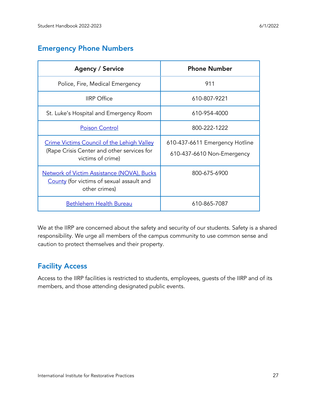# <span id="page-26-0"></span>Emergency Phone Numbers

| <b>Agency / Service</b>                                                                                              | <b>Phone Number</b>                                          |
|----------------------------------------------------------------------------------------------------------------------|--------------------------------------------------------------|
| Police, Fire, Medical Emergency                                                                                      | 911                                                          |
| <b>IIRP</b> Office                                                                                                   | 610-807-9221                                                 |
| St. Luke's Hospital and Emergency Room                                                                               | 610-954-4000                                                 |
| <b>Poison Control</b>                                                                                                | 800-222-1222                                                 |
| <b>Crime Victims Council of the Lehigh Valley</b><br>(Rape Crisis Center and other services for<br>victims of crime) | 610-437-6611 Emergency Hotline<br>610-437-6610 Non-Emergency |
| Network of Victim Assistance (NOVA), Bucks<br>County (for victims of sexual assault and<br>other crimes)             | 800-675-6900                                                 |
| Bethlehem Health Bureau                                                                                              | 610-865-7087                                                 |

We at the IIRP are concerned about the safety and security of our students. Safety is a shared responsibility. We urge all members of the campus community to use common sense and caution to protect themselves and their property.

# <span id="page-26-1"></span>Facility Access

Access to the IIRP facilities is restricted to students, employees, guests of the IIRP and of its members, and those attending designated public events.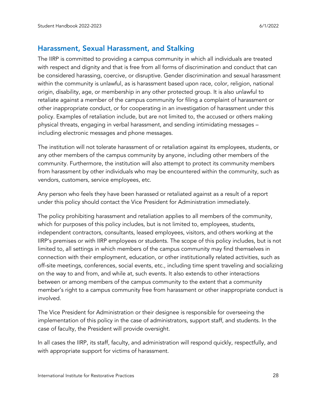#### <span id="page-27-0"></span>Harassment, Sexual Harassment, and Stalking

The IIRP is committed to providing a campus community in which all individuals are treated with respect and dignity and that is free from all forms of discrimination and conduct that can be considered harassing, coercive, or disruptive. Gender discrimination and sexual harassment within the community is unlawful, as is harassment based upon race, color, religion, national origin, disability, age, or membership in any other protected group. It is also unlawful to retaliate against a member of the campus community for filing a complaint of harassment or other inappropriate conduct, or for cooperating in an investigation of harassment under this policy. Examples of retaliation include, but are not limited to, the accused or others making physical threats, engaging in verbal harassment, and sending intimidating messages – including electronic messages and phone messages.

The institution will not tolerate harassment of or retaliation against its employees, students, or any other members of the campus community by anyone, including other members of the community. Furthermore, the institution will also attempt to protect its community members from harassment by other individuals who may be encountered within the community, such as vendors, customers, service employees, etc.

Any person who feels they have been harassed or retaliated against as a result of a report under this policy should contact the Vice President for Administration immediately.

The policy prohibiting harassment and retaliation applies to all members of the community, which for purposes of this policy includes, but is not limited to, employees, students, independent contractors, consultants, leased employees, visitors, and others working at the IIRP's premises or with IIRP employees or students. The scope of this policy includes, but is not limited to, all settings in which members of the campus community may find themselves in connection with their employment, education, or other institutionally related activities, such as off-site meetings, conferences, social events, etc., including time spent traveling and socializing on the way to and from, and while at, such events. It also extends to other interactions between or among members of the campus community to the extent that a community member's right to a campus community free from harassment or other inappropriate conduct is involved.

The Vice President for Administration or their designee is responsible for overseeing the implementation of this policy in the case of administrators, support staff, and students. In the case of faculty, the President will provide oversight.

In all cases the IIRP, its staff, faculty, and administration will respond quickly, respectfully, and with appropriate support for victims of harassment.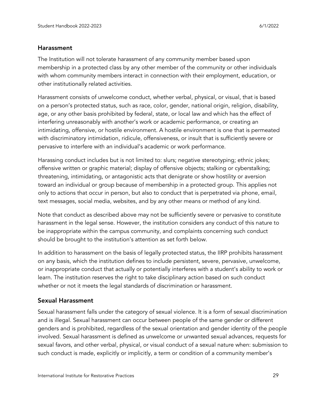#### Harassment

The Institution will not tolerate harassment of any community member based upon membership in a protected class by any other member of the community or other individuals with whom community members interact in connection with their employment, education, or other institutionally related activities.

Harassment consists of unwelcome conduct, whether verbal, physical, or visual, that is based on a person's protected status, such as race, color, gender, national origin, religion, disability, age, or any other basis prohibited by federal, state, or local law and which has the effect of interfering unreasonably with another's work or academic performance, or creating an intimidating, offensive, or hostile environment. A hostile environment is one that is permeated with discriminatory intimidation, ridicule, offensiveness, or insult that is sufficiently severe or pervasive to interfere with an individual's academic or work performance.

Harassing conduct includes but is not limited to: slurs; negative stereotyping; ethnic jokes; offensive written or graphic material; display of offensive objects; stalking or cyberstalking; threatening, intimidating, or antagonistic acts that denigrate or show hostility or aversion toward an individual or group because of membership in a protected group. This applies not only to actions that occur in person, but also to conduct that is perpetrated via phone, email, text messages, social media, websites, and by any other means or method of any kind.

Note that conduct as described above may not be sufficiently severe or pervasive to constitute harassment in the legal sense. However, the institution considers any conduct of this nature to be inappropriate within the campus community, and complaints concerning such conduct should be brought to the institution's attention as set forth below.

In addition to harassment on the basis of legally protected status, the IIRP prohibits harassment on any basis, which the institution defines to include persistent, severe, pervasive, unwelcome, or inappropriate conduct that actually or potentially interferes with a student's ability to work or learn. The institution reserves the right to take disciplinary action based on such conduct whether or not it meets the legal standards of discrimination or harassment.

#### Sexual Harassment

Sexual harassment falls under the category of sexual violence. It is a form of sexual discrimination and is illegal. Sexual harassment can occur between people of the same gender or different genders and is prohibited, regardless of the sexual orientation and gender identity of the people involved. Sexual harassment is defined as unwelcome or unwanted sexual advances, requests for sexual favors, and other verbal, physical, or visual conduct of a sexual nature when: submission to such conduct is made, explicitly or implicitly, a term or condition of a community member's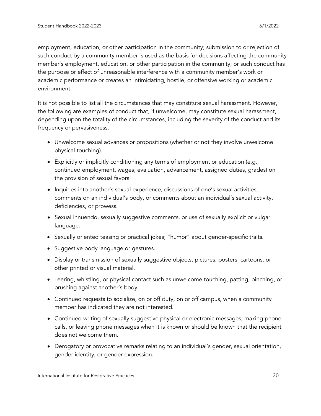employment, education, or other participation in the community; submission to or rejection of such conduct by a community member is used as the basis for decisions affecting the community member's employment, education, or other participation in the community; or such conduct has the purpose or effect of unreasonable interference with a community member's work or academic performance or creates an intimidating, hostile, or offensive working or academic environment.

It is not possible to list all the circumstances that may constitute sexual harassment. However, the following are examples of conduct that, if unwelcome, may constitute sexual harassment, depending upon the totality of the circumstances, including the severity of the conduct and its frequency or pervasiveness.

- Unwelcome sexual advances or propositions (whether or not they involve unwelcome physical touching).
- Explicitly or implicitly conditioning any terms of employment or education (e.g., continued employment, wages, evaluation, advancement, assigned duties, grades) on the provision of sexual favors.
- Inquiries into another's sexual experience, discussions of one's sexual activities, comments on an individual's body, or comments about an individual's sexual activity, deficiencies, or prowess.
- Sexual innuendo, sexually suggestive comments, or use of sexually explicit or vulgar language.
- Sexually oriented teasing or practical jokes; "humor" about gender-specific traits.
- Suggestive body language or gestures.
- Display or transmission of sexually suggestive objects, pictures, posters, cartoons, or other printed or visual material.
- Leering, whistling, or physical contact such as unwelcome touching, patting, pinching, or brushing against another's body.
- Continued requests to socialize, on or off duty, on or off campus, when a community member has indicated they are not interested.
- Continued writing of sexually suggestive physical or electronic messages, making phone calls, or leaving phone messages when it is known or should be known that the recipient does not welcome them.
- Derogatory or provocative remarks relating to an individual's gender, sexual orientation, gender identity, or gender expression.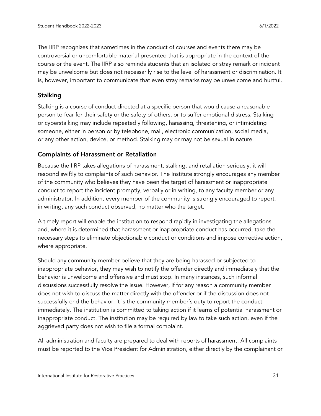The IIRP recognizes that sometimes in the conduct of courses and events there may be controversial or uncomfortable material presented that is appropriate in the context of the course or the event. The IIRP also reminds students that an isolated or stray remark or incident may be unwelcome but does not necessarily rise to the level of harassment or discrimination. It is, however, important to communicate that even stray remarks may be unwelcome and hurtful.

#### Stalking

Stalking is a course of conduct directed at a specific person that would cause a reasonable person to fear for their safety or the safety of others, or to suffer emotional distress. Stalking or cyberstalking may include repeatedly following, harassing, threatening, or intimidating someone, either in person or by telephone, mail, electronic communication, social media, or any other action, device, or method. Stalking may or may not be sexual in nature.

#### Complaints of Harassment or Retaliation

Because the IIRP takes allegations of harassment, stalking, and retaliation seriously, it will respond swiftly to complaints of such behavior. The Institute strongly encourages any member of the community who believes they have been the target of harassment or inappropriate conduct to report the incident promptly, verbally or in writing, to any faculty member or any administrator. In addition, every member of the community is strongly encouraged to report, in writing, any such conduct observed, no matter who the target.

A timely report will enable the institution to respond rapidly in investigating the allegations and, where it is determined that harassment or inappropriate conduct has occurred, take the necessary steps to eliminate objectionable conduct or conditions and impose corrective action, where appropriate.

Should any community member believe that they are being harassed or subjected to inappropriate behavior, they may wish to notify the offender directly and immediately that the behavior is unwelcome and offensive and must stop. In many instances, such informal discussions successfully resolve the issue. However, if for any reason a community member does not wish to discuss the matter directly with the offender or if the discussion does not successfully end the behavior, it is the community member's duty to report the conduct immediately. The institution is committed to taking action if it learns of potential harassment or inappropriate conduct. The institution may be required by law to take such action, even if the aggrieved party does not wish to file a formal complaint.

All administration and faculty are prepared to deal with reports of harassment. All complaints must be reported to the Vice President for Administration, either directly by the complainant or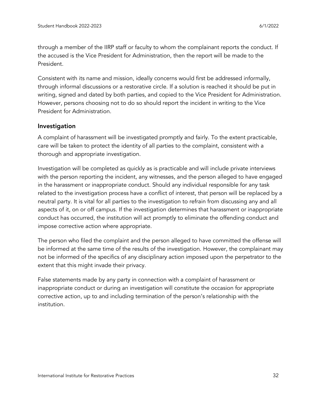through a member of the IIRP staff or faculty to whom the complainant reports the conduct. If the accused is the Vice President for Administration, then the report will be made to the President.

Consistent with its name and mission, ideally concerns would first be addressed informally, through informal discussions or a restorative circle. If a solution is reached it should be put in writing, signed and dated by both parties, and copied to the Vice President for Administration. However, persons choosing not to do so should report the incident in writing to the Vice President for Administration.

#### Investigation

A complaint of harassment will be investigated promptly and fairly. To the extent practicable, care will be taken to protect the identity of all parties to the complaint, consistent with a thorough and appropriate investigation.

Investigation will be completed as quickly as is practicable and will include private interviews with the person reporting the incident, any witnesses, and the person alleged to have engaged in the harassment or inappropriate conduct. Should any individual responsible for any task related to the investigation process have a conflict of interest, that person will be replaced by a neutral party. It is vital for all parties to the investigation to refrain from discussing any and all aspects of it, on or off campus. If the investigation determines that harassment or inappropriate conduct has occurred, the institution will act promptly to eliminate the offending conduct and impose corrective action where appropriate.

The person who filed the complaint and the person alleged to have committed the offense will be informed at the same time of the results of the investigation. However, the complainant may not be informed of the specifics of any disciplinary action imposed upon the perpetrator to the extent that this might invade their privacy.

False statements made by any party in connection with a complaint of harassment or inappropriate conduct or during an investigation will constitute the occasion for appropriate corrective action, up to and including termination of the person's relationship with the institution.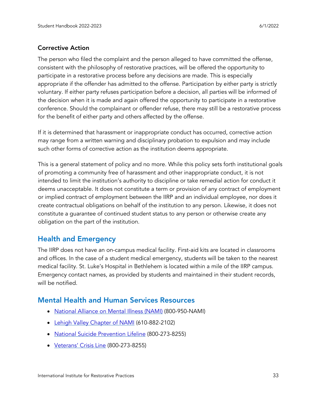#### Corrective Action

The person who filed the complaint and the person alleged to have committed the offense, consistent with the philosophy of restorative practices, will be offered the opportunity to participate in a restorative process before any decisions are made. This is especially appropriate if the offender has admitted to the offense. Participation by either party is strictly voluntary. If either party refuses participation before a decision, all parties will be informed of the decision when it is made and again offered the opportunity to participate in a restorative conference. Should the complainant or offender refuse, there may still be a restorative process for the benefit of either party and others affected by the offense.

If it is determined that harassment or inappropriate conduct has occurred, corrective action may range from a written warning and disciplinary probation to expulsion and may include such other forms of corrective action as the institution deems appropriate.

This is a general statement of policy and no more. While this policy sets forth institutional goals of promoting a community free of harassment and other inappropriate conduct, it is not intended to limit the institution's authority to discipline or take remedial action for conduct it deems unacceptable. It does not constitute a term or provision of any contract of employment or implied contract of employment between the IIRP and an individual employee, nor does it create contractual obligations on behalf of the institution to any person. Likewise, it does not constitute a guarantee of continued student status to any person or otherwise create any obligation on the part of the institution.

### <span id="page-32-0"></span>Health and Emergency

The IIRP does not have an on-campus medical facility. First-aid kits are located in classrooms and offices. In the case of a student medical emergency, students will be taken to the nearest medical facility. St. Luke's Hospital in Bethlehem is located within a mile of the IIRP campus. Emergency contact names, as provided by students and maintained in their student records, will be notified.

### <span id="page-32-1"></span>Mental Health and Human Services Resources

- [National](https://www.nami.org/) Alliance on Mental Illness (NAMI) (800-950-NAMI)
- Lehigh Valley [Chapter](http://www.nami-lv.org/) of NAMI (610-882-2102)
- National Suicide [Prevention](https://suicidepreventionlifeline.org/) Lifeline (800-273-8255)
- [Veterans'](https://www.veteranscrisisline.net/) Crisis Line (800-273-8255)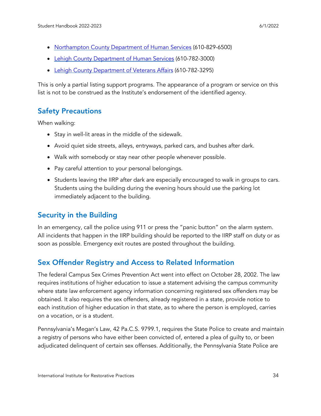- [Northampton](https://www.northamptoncounty.org/HS/Pages/default.aspx) County Department of Human Services (610-829-6500)
- Lehigh County [Department](https://www.lehighcounty.org/Departments/Human-Services) of Human Services (610-782-3000)
- Lehigh County [Department](https://www.lehighcounty.org/Departments/Veterans-Affairs) of Veterans Affairs (610-782-3295)

This is only a partial listing support programs. The appearance of a program or service on this list is not to be construed as the Institute's endorsement of the identified agency.

# <span id="page-33-0"></span>Safety Precautions

When walking:

- Stay in well-lit areas in the middle of the sidewalk.
- Avoid quiet side streets, alleys, entryways, parked cars, and bushes after dark.
- Walk with somebody or stay near other people whenever possible.
- Pay careful attention to your personal belongings.
- Students leaving the IIRP after dark are especially encouraged to walk in groups to cars. Students using the building during the evening hours should use the parking lot immediately adjacent to the building.

# <span id="page-33-1"></span>Security in the Building

In an emergency, call the police using 911 or press the "panic button" on the alarm system. All incidents that happen in the IIRP building should be reported to the IIRP staff on duty or as soon as possible. Emergency exit routes are posted throughout the building.

# <span id="page-33-2"></span>Sex Offender Registry and Access to Related Information

The federal Campus Sex Crimes Prevention Act went into effect on October 28, 2002. The law requires institutions of higher education to issue a statement advising the campus community where state law enforcement agency information concerning registered sex offenders may be obtained. It also requires the sex offenders, already registered in a state, provide notice to each institution of higher education in that state, as to where the person is employed, carries on a vocation, or is a student.

Pennsylvania's Megan's Law, 42 Pa.C.S. 9799.1, requires the State Police to create and maintain a registry of persons who have either been convicted of, entered a plea of guilty to, or been adjudicated delinquent of certain sex offenses. Additionally, the Pennsylvania State Police are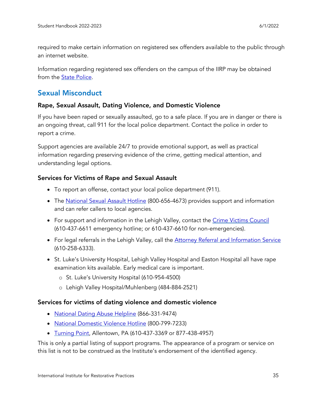required to make certain information on registered sex offenders available to the public through an internet website.

Information regarding registered sex offenders on the campus of the IIRP may be obtained from the State [Police.](http://www.pameganslaw.state.pa.us/)

# <span id="page-34-0"></span>Sexual Misconduct

#### Rape, Sexual Assault, Dating Violence, and Domestic Violence

If you have been raped or sexually assaulted, go to a safe place. If you are in danger or there is an ongoing threat, call 911 for the local police department. Contact the police in order to report a crime.

Support agencies are available 24/7 to provide emotional support, as well as practical information regarding preserving evidence of the crime, getting medical attention, and understanding legal options.

#### Services for Victims of Rape and Sexual Assault

- To report an offense, contact your local police department (911).
- The <u>[National](https://www.rainn.org/) Sexual Assault Hotline</u> (800-656-4673) provides support and information and can refer callers to local agencies.
- For support and information in the Lehigh Valley, contact the Crime Victims [Council](https://cvclv.org/) (610-437-6611 emergency hotline; or 610-437-6610 for non-emergencies).
- For legal referrals in the Lehigh Valley, call the Attorney Referral and [Information](https://norcobar.org/community-resources/attorney-referral-information-service-aris/) Service (610-258-6333).
- St. Luke's University Hospital, Lehigh Valley Hospital and Easton Hospital all have rape examination kits available. Early medical care is important.
	- o St. Luke's University Hospital (610-954-4500)
	- o Lehigh Valley Hospital/Muhlenberg (484-884-2521)

#### Services for victims of dating violence and domestic violence

- [National](https://www.loveisrespect.org/) Dating Abuse Helpline (866-331-9474)
- National [Domestic](http://www.thehotline.org/) Violence Hotline (800-799-7233)
- [Turning](http://www.turningpointlv.org/) Point, Allentown, PA (610-437-3369 or 877-438-4957)

This is only a partial listing of support programs. The appearance of a program or service on this list is not to be construed as the Institute's endorsement of the identified agency.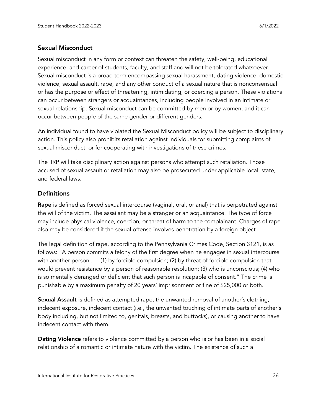#### Sexual Misconduct

Sexual misconduct in any form or context can threaten the safety, well-being, educational experience, and career of students, faculty, and staff and will not be tolerated whatsoever. Sexual misconduct is a broad term encompassing sexual harassment, dating violence, domestic violence, sexual assault, rape, and any other conduct of a sexual nature that is nonconsensual or has the purpose or effect of threatening, intimidating, or coercing a person. These violations can occur between strangers or acquaintances, including people involved in an intimate or sexual relationship. Sexual misconduct can be committed by men or by women, and it can occur between people of the same gender or different genders.

An individual found to have violated the Sexual Misconduct policy will be subject to disciplinary action. This policy also prohibits retaliation against individuals for submitting complaints of sexual misconduct, or for cooperating with investigations of these crimes.

The IIRP will take disciplinary action against persons who attempt such retaliation. Those accused of sexual assault or retaliation may also be prosecuted under applicable local, state, and federal laws.

#### **Definitions**

Rape is defined as forced sexual intercourse (vaginal, oral, or anal) that is perpetrated against the will of the victim. The assailant may be a stranger or an acquaintance. The type of force may include physical violence, coercion, or threat of harm to the complainant. Charges of rape also may be considered if the sexual offense involves penetration by a foreign object.

The legal definition of rape, according to the Pennsylvania Crimes Code, Section 3121, is as follows: "A person commits a felony of the first degree when he engages in sexual intercourse with another person . . . (1) by forcible compulsion; (2) by threat of forcible compulsion that would prevent resistance by a person of reasonable resolution; (3) who is unconscious; (4) who is so mentally deranged or deficient that such person is incapable of consent." The crime is punishable by a maximum penalty of 20 years' imprisonment or fine of \$25,000 or both.

Sexual Assault is defined as attempted rape, the unwanted removal of another's clothing, indecent exposure, indecent contact (i.e., the unwanted touching of intimate parts of another's body including, but not limited to, genitals, breasts, and buttocks), or causing another to have indecent contact with them.

Dating Violence refers to violence committed by a person who is or has been in a social relationship of a romantic or intimate nature with the victim. The existence of such a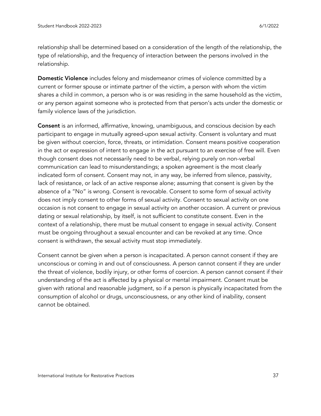relationship shall be determined based on a consideration of the length of the relationship, the type of relationship, and the frequency of interaction between the persons involved in the relationship.

Domestic Violence includes felony and misdemeanor crimes of violence committed by a current or former spouse or intimate partner of the victim, a person with whom the victim shares a child in common, a person who is or was residing in the same household as the victim, or any person against someone who is protected from that person's acts under the domestic or family violence laws of the jurisdiction.

Consent is an informed, affirmative, knowing, unambiguous, and conscious decision by each participant to engage in mutually agreed-upon sexual activity. Consent is voluntary and must be given without coercion, force, threats, or intimidation. Consent means positive cooperation in the act or expression of intent to engage in the act pursuant to an exercise of free will. Even though consent does not necessarily need to be verbal, relying purely on non-verbal communication can lead to misunderstandings; a spoken agreement is the most clearly indicated form of consent. Consent may not, in any way, be inferred from silence, passivity, lack of resistance, or lack of an active response alone; assuming that consent is given by the absence of a "No" is wrong. Consent is revocable. Consent to some form of sexual activity does not imply consent to other forms of sexual activity. Consent to sexual activity on one occasion is not consent to engage in sexual activity on another occasion. A current or previous dating or sexual relationship, by itself, is not sufficient to constitute consent. Even in the context of a relationship, there must be mutual consent to engage in sexual activity. Consent must be ongoing throughout a sexual encounter and can be revoked at any time. Once consent is withdrawn, the sexual activity must stop immediately.

Consent cannot be given when a person is incapacitated. A person cannot consent if they are unconscious or coming in and out of consciousness. A person cannot consent if they are under the threat of violence, bodily injury, or other forms of coercion. A person cannot consent if their understanding of the act is affected by a physical or mental impairment. Consent must be given with rational and reasonable judgment, so if a person is physically incapacitated from the consumption of alcohol or drugs, unconsciousness, or any other kind of inability, consent cannot be obtained.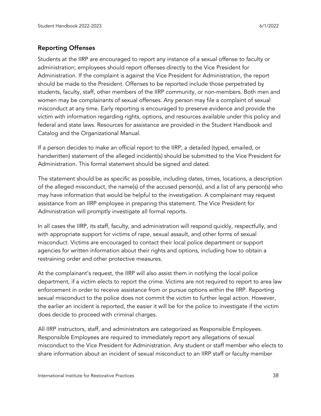#### Reporting Offenses

Students at the IIRP are encouraged to report any instance of a sexual offense to faculty or administration; employees should report offenses directly to the Vice President for Administration. If the complaint is against the Vice President for Administration, the report should be made to the President. Offenses to be reported include those perpetrated by students, faculty, staff, other members of the IIRP community, or non-members. Both men and women may be complainants of sexual offenses. Any person may file a complaint of sexual misconduct at any time. Early reporting is encouraged to preserve evidence and provide the victim with information regarding rights, options, and resources available under this policy and federal and state laws. Resources for assistance are provided in the Student Handbook and Catalog and the Organizational Manual.

If a person decides to make an official report to the IIRP, a detailed (typed, emailed, or handwritten) statement of the alleged incident(s) should be submitted to the Vice President for Administration. This formal statement should be signed and dated.

The statement should be as specific as possible, including dates, times, locations, a description of the alleged misconduct, the name(s) of the accused person(s), and a list of any person(s) who may have information that would be helpful to the investigation. A complainant may request assistance from an IIRP employee in preparing this statement. The Vice President for Administration will promptly investigate all formal reports.

In all cases the IIRP, its staff, faculty, and administration will respond quickly, respectfully, and with appropriate support for victims of rape, sexual assault, and other forms of sexual misconduct. Victims are encouraged to contact their local police department or support agencies for written information about their rights and options, including how to obtain a restraining order and other protective measures.

At the complainant's request, the IIRP will also assist them in notifying the local police department, if a victim elects to report the crime. Victims are not required to report to area law enforcement in order to receive assistance from or pursue options within the IIRP. Reporting sexual misconduct to the police does not commit the victim to further legal action. However, the earlier an incident is reported, the easier it will be for the police to investigate if the victim does decide to proceed with criminal charges.

All IIRP instructors, staff, and administrators are categorized as Responsible Employees. Responsible Employees are required to immediately report any allegations of sexual misconduct to the Vice President for Administration. Any student or staff member who elects to share information about an incident of sexual misconduct to an IIRP staff or faculty member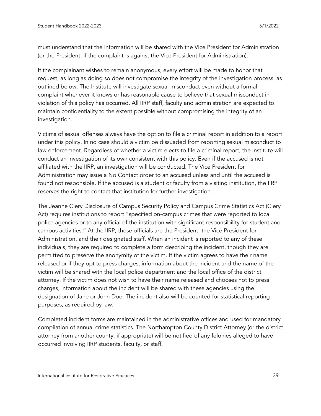must understand that the information will be shared with the Vice President for Administration (or the President, if the complaint is against the Vice President for Administration).

If the complainant wishes to remain anonymous, every effort will be made to honor that request, as long as doing so does not compromise the integrity of the investigation process, as outlined below. The Institute will investigate sexual misconduct even without a formal complaint whenever it knows or has reasonable cause to believe that sexual misconduct in violation of this policy has occurred. All IIRP staff, faculty and administration are expected to maintain confidentiality to the extent possible without compromising the integrity of an investigation.

Victims of sexual offenses always have the option to file a criminal report in addition to a report under this policy. In no case should a victim be dissuaded from reporting sexual misconduct to law enforcement. Regardless of whether a victim elects to file a criminal report, the Institute will conduct an investigation of its own consistent with this policy. Even if the accused is not affiliated with the IIRP, an investigation will be conducted. The Vice President for Administration may issue a No Contact order to an accused unless and until the accused is found not responsible. If the accused is a student or faculty from a visiting institution, the IIRP reserves the right to contact that institution for further investigation.

The Jeanne Clery Disclosure of Campus Security Policy and Campus Crime Statistics Act (Clery Act) requires institutions to report "specified on-campus crimes that were reported to local police agencies or to any official of the institution with significant responsibility for student and campus activities." At the IIRP, these officials are the President, the Vice President for Administration, and their designated staff. When an incident is reported to any of these individuals, they are required to complete a form describing the incident, though they are permitted to preserve the anonymity of the victim. If the victim agrees to have their name released or if they opt to press charges, information about the incident and the name of the victim will be shared with the local police department and the local office of the district attorney. If the victim does not wish to have their name released and chooses not to press charges, information about the incident will be shared with these agencies using the designation of Jane or John Doe. The incident also will be counted for statistical reporting purposes, as required by law.

Completed incident forms are maintained in the administrative offices and used for mandatory compilation of annual crime statistics. The Northampton County District Attorney (or the district attorney from another county, if appropriate) will be notified of any felonies alleged to have occurred involving IIRP students, faculty, or staff.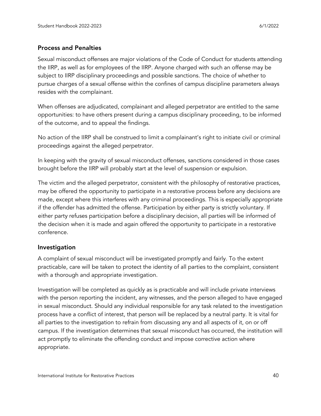#### Process and Penalties

Sexual misconduct offenses are major violations of the Code of Conduct for students attending the IIRP, as well as for employees of the IIRP. Anyone charged with such an offense may be subject to IIRP disciplinary proceedings and possible sanctions. The choice of whether to pursue charges of a sexual offense within the confines of campus discipline parameters always resides with the complainant.

When offenses are adjudicated, complainant and alleged perpetrator are entitled to the same opportunities: to have others present during a campus disciplinary proceeding, to be informed of the outcome, and to appeal the findings.

No action of the IIRP shall be construed to limit a complainant's right to initiate civil or criminal proceedings against the alleged perpetrator.

In keeping with the gravity of sexual misconduct offenses, sanctions considered in those cases brought before the IIRP will probably start at the level of suspension or expulsion.

The victim and the alleged perpetrator, consistent with the philosophy of restorative practices, may be offered the opportunity to participate in a restorative process before any decisions are made, except where this interferes with any criminal proceedings. This is especially appropriate if the offender has admitted the offense. Participation by either party is strictly voluntary. If either party refuses participation before a disciplinary decision, all parties will be informed of the decision when it is made and again offered the opportunity to participate in a restorative conference.

#### Investigation

A complaint of sexual misconduct will be investigated promptly and fairly. To the extent practicable, care will be taken to protect the identity of all parties to the complaint, consistent with a thorough and appropriate investigation.

Investigation will be completed as quickly as is practicable and will include private interviews with the person reporting the incident, any witnesses, and the person alleged to have engaged in sexual misconduct. Should any individual responsible for any task related to the investigation process have a conflict of interest, that person will be replaced by a neutral party. It is vital for all parties to the investigation to refrain from discussing any and all aspects of it, on or off campus. If the investigation determines that sexual misconduct has occurred, the institution will act promptly to eliminate the offending conduct and impose corrective action where appropriate.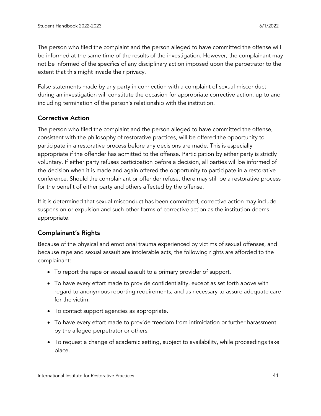The person who filed the complaint and the person alleged to have committed the offense will be informed at the same time of the results of the investigation. However, the complainant may not be informed of the specifics of any disciplinary action imposed upon the perpetrator to the extent that this might invade their privacy.

False statements made by any party in connection with a complaint of sexual misconduct during an investigation will constitute the occasion for appropriate corrective action, up to and including termination of the person's relationship with the institution.

#### Corrective Action

The person who filed the complaint and the person alleged to have committed the offense, consistent with the philosophy of restorative practices, will be offered the opportunity to participate in a restorative process before any decisions are made. This is especially appropriate if the offender has admitted to the offense. Participation by either party is strictly voluntary. If either party refuses participation before a decision, all parties will be informed of the decision when it is made and again offered the opportunity to participate in a restorative conference. Should the complainant or offender refuse, there may still be a restorative process for the benefit of either party and others affected by the offense.

If it is determined that sexual misconduct has been committed, corrective action may include suspension or expulsion and such other forms of corrective action as the institution deems appropriate.

#### Complainant's Rights

Because of the physical and emotional trauma experienced by victims of sexual offenses, and because rape and sexual assault are intolerable acts, the following rights are afforded to the complainant:

- To report the rape or sexual assault to a primary provider of support.
- To have every effort made to provide confidentiality, except as set forth above with regard to anonymous reporting requirements, and as necessary to assure adequate care for the victim.
- To contact support agencies as appropriate.
- To have every effort made to provide freedom from intimidation or further harassment by the alleged perpetrator or others.
- To request a change of academic setting, subject to availability, while proceedings take place.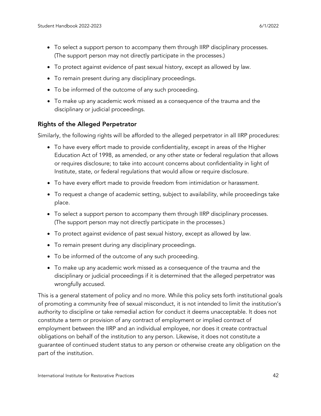- To select a support person to accompany them through IIRP disciplinary processes. (The support person may not directly participate in the processes.)
- To protect against evidence of past sexual history, except as allowed by law.
- To remain present during any disciplinary proceedings.
- To be informed of the outcome of any such proceeding.
- To make up any academic work missed as a consequence of the trauma and the disciplinary or judicial proceedings.

#### Rights of the Alleged Perpetrator

Similarly, the following rights will be afforded to the alleged perpetrator in all IIRP procedures:

- To have every effort made to provide confidentiality, except in areas of the Higher Education Act of 1998, as amended, or any other state or federal regulation that allows or requires disclosure; to take into account concerns about confidentiality in light of Institute, state, or federal regulations that would allow or require disclosure.
- To have every effort made to provide freedom from intimidation or harassment.
- To request a change of academic setting, subject to availability, while proceedings take place.
- To select a support person to accompany them through IIRP disciplinary processes. (The support person may not directly participate in the processes.)
- To protect against evidence of past sexual history, except as allowed by law.
- To remain present during any disciplinary proceedings.
- To be informed of the outcome of any such proceeding.
- To make up any academic work missed as a consequence of the trauma and the disciplinary or judicial proceedings if it is determined that the alleged perpetrator was wrongfully accused.

This is a general statement of policy and no more. While this policy sets forth institutional goals of promoting a community free of sexual misconduct, it is not intended to limit the institution's authority to discipline or take remedial action for conduct it deems unacceptable. It does not constitute a term or provision of any contract of employment or implied contract of employment between the IIRP and an individual employee, nor does it create contractual obligations on behalf of the institution to any person. Likewise, it does not constitute a guarantee of continued student status to any person or otherwise create any obligation on the part of the institution.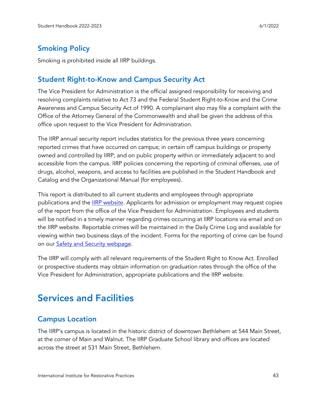# <span id="page-42-0"></span>Smoking Policy

Smoking is prohibited inside all IIRP buildings.

# <span id="page-42-1"></span>Student Right-to-Know and Campus Security Act

The Vice President for Administration is the official assigned responsibility for receiving and resolving complaints relative to Act 73 and the Federal Student Right-to-Know and the Crime Awareness and Campus Security Act of 1990. A complainant also may file a complaint with the Office of the Attorney General of the Commonwealth and shall be given the address of this office upon request to the Vice President for Administration.

The IIRP annual security report includes statistics for the previous three years concerning reported crimes that have occurred on campus; in certain off campus buildings or property owned and controlled by IIRP; and on public property within or immediately adjacent to and accessible from the campus. IIRP policies concerning the reporting of criminal offenses, use of drugs, alcohol, weapons, and access to facilities are published in the Student Handbook and Catalog and the Organizational Manual (for employees).

This report is distributed to all current students and employees through appropriate publications and the **IIRP website**. Applicants for admission or employment may request copies of the report from the office of the Vice President for Administration. Employees and students will be notified in a timely manner regarding crimes occurring at IIRP locations via email and on the IIRP website. Reportable crimes will be maintained in the Daily Crime Log and available for viewing within two business days of the incident. Forms for the reporting of crime can be found on our Safety and Security [webpage.](http://www.iirp.edu/safety.php)

The IIRP will comply with all relevant requirements of the Student Right to Know Act. Enrolled or prospective students may obtain information on graduation rates through the office of the Vice President for Administration, appropriate publications and the IIRP website.

# <span id="page-42-2"></span>Services and Facilities

# <span id="page-42-3"></span>Campus Location

The IIRP's campus is located in the historic district of downtown Bethlehem at 544 Main Street, at the corner of Main and Walnut. The IIRP Graduate School library and offices are located across the street at 531 Main Street, Bethlehem.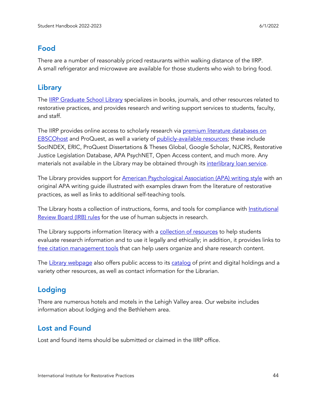# <span id="page-43-0"></span>Food

There are a number of reasonably priced restaurants within walking distance of the IIRP. A small refrigerator and microwave are available for those students who wish to bring food.

# <span id="page-43-1"></span>Library

The **IIRP [Graduate](https://www.iirp.edu/library) School Library** specializes in books, journals, and other resources related to restorative practices, and provides research and writing support services to students, faculty, and staff.

The IIRP provides online access to scholarly research via premium literature [databases](https://www.iirp.edu/library/external-databases-ebscohost) on [EBSCOhost](https://www.iirp.edu/library/external-databases-ebscohost) and ProQuest, as well a variety of [publicly-available](https://www.iirp.edu/library/external-databases-resources) resources; these include SocINDEX, ERIC, ProQuest Dissertations & Theses Global, Google Scholar, NJCRS, Restorative Justice Legislation Database, APA PsychNET, Open Access content, and much more. Any materials not available in the Library may be obtained through its [interlibrary](https://www.iirp.edu/library/interlibrary-loan) loan service.

The Library provides support for American [Psychological](https://www.iirp.edu/library/apa-writing-guidelines-help) Association (APA) writing style with an original APA writing guide illustrated with examples drawn from the literature of restorative practices, as well as links to additional self-teaching tools.

The Library hosts a collection of instructions, forms, and tools for compliance with [Institutional](https://www.iirp.edu/library/institutional-review-board-irb) [Review](https://www.iirp.edu/library/institutional-review-board-irb) Board (IRB) rules for the use of human subjects in research.

The Library supports information literacy with a [collection](https://www.iirp.edu/library/citing-sources-working-with-information) of resources to help students evaluate research information and to use it legally and ethically; in addition, it provides links to free citation [management](https://www.iirp.edu/library/citing-sources-working-with-information#citationmgmt) tools that can help users organize and share research content.

The Library [webpage](https://www.iirp.edu/library) also offers public access to its [catalog](http://i90004.eos-intl.net/I90004/OPAC/Index.aspx) of print and digital holdings and a variety other resources, as well as contact information for the Librarian.

# <span id="page-43-2"></span>Lodging

There are numerous hotels and motels in the Lehigh Valley area. Our website includes [information](http://www.iirp.edu/locations.php) about lodging and the Bethlehem area.

# <span id="page-43-3"></span>Lost and Found

Lost and found items should be submitted or claimed in the IIRP office.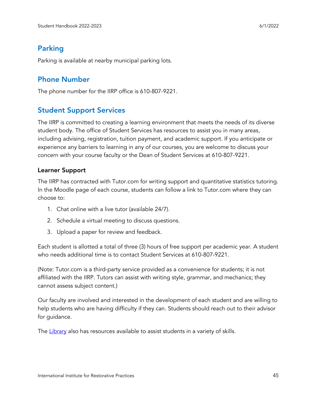# <span id="page-44-0"></span>Parking

Parking is available at nearby municipal parking lots.

### <span id="page-44-1"></span>Phone Number

The phone number for the IIRP office is 610-807-9221.

### <span id="page-44-2"></span>Student Support Services

The IIRP is committed to creating a learning environment that meets the needs of its diverse student body. The office of Student Services has resources to assist you in many areas, including advising, registration, tuition payment, and academic support. If you anticipate or experience any barriers to learning in any of our courses, you are welcome to discuss your concern with your course faculty or the Dean of Student Services at 610-807-9221.

#### Learner Support

The IIRP has contracted with Tutor.com for writing support and quantitative statistics tutoring. In the Moodle page of each course, students can follow a link to Tutor.com where they can choose to:

- 1. Chat online with a live tutor (available 24/7).
- 2. Schedule a virtual meeting to discuss questions.
- 3. Upload a paper for review and feedback.

Each student is allotted a total of three (3) hours of free support per academic year. A student who needs additional time is to contact Student Services at 610-807-9221.

(Note: Tutor.com is a third-party service provided as a convenience for students; it is not affiliated with the IIRP. Tutors can assist with writing style, grammar, and mechanics; they cannot assess subject content.)

Our faculty are involved and interested in the development of each student and are willing to help students who are having difficulty if they can. Students should reach out to their advisor for guidance.

The [Library](https://www.iirp.edu/library/library-home) also has resources available to assist students in a variety of skills.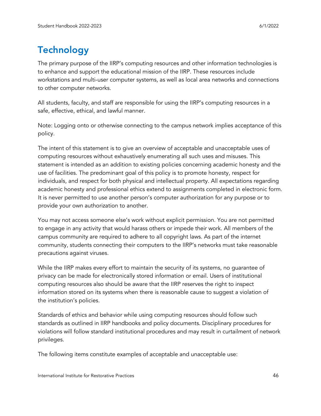# <span id="page-45-0"></span>**Technology**

The primary purpose of the IIRP's computing resources and other information technologies is to enhance and support the educational mission of the IIRP. These resources include workstations and multi-user computer systems, as well as local area networks and connections to other computer networks.

All students, faculty, and staff are responsible for using the IIRP's computing resources in a safe, effective, ethical, and lawful manner.

Note: Logging onto or otherwise connecting to the campus network implies acceptance of this policy.

The intent of this statement is to give an overview of acceptable and unacceptable uses of computing resources without exhaustively enumerating all such uses and misuses. This statement is intended as an addition to existing policies concerning academic honesty and the use of facilities. The predominant goal of this policy is to promote honesty, respect for individuals, and respect for both physical and intellectual property. All expectations regarding academic honesty and professional ethics extend to assignments completed in electronic form. It is never permitted to use another person's computer authorization for any purpose or to provide your own authorization to another.

You may not access someone else's work without explicit permission. You are not permitted to engage in any activity that would harass others or impede their work. All members of the campus community are required to adhere to all copyright laws. As part of the internet community, students connecting their computers to the IIRP's networks must take reasonable precautions against viruses.

While the IIRP makes every effort to maintain the security of its systems, no guarantee of privacy can be made for electronically stored information or email. Users of institutional computing resources also should be aware that the IIRP reserves the right to inspect information stored on its systems when there is reasonable cause to suggest a violation of the institution's policies.

Standards of ethics and behavior while using computing resources should follow such standards as outlined in IIRP handbooks and policy documents. Disciplinary procedures for violations will follow standard institutional procedures and may result in curtailment of network privileges.

The following items constitute examples of acceptable and unacceptable use: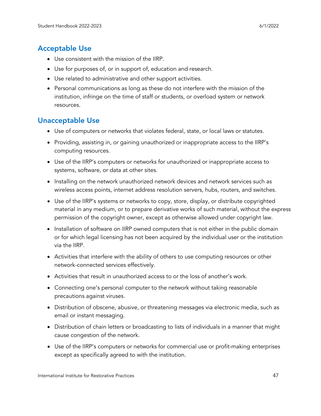# <span id="page-46-0"></span>Acceptable Use

- Use consistent with the mission of the IIRP.
- Use for purposes of, or in support of, education and research.
- Use related to administrative and other support activities.
- Personal communications as long as these do not interfere with the mission of the institution, infringe on the time of staff or students, or overload system or network resources.

# <span id="page-46-1"></span>Unacceptable Use

- Use of computers or networks that violates federal, state, or local laws or statutes.
- Providing, assisting in, or gaining unauthorized or inappropriate access to the IIRP's computing resources.
- Use of the IIRP's computers or networks for unauthorized or inappropriate access to systems, software, or data at other sites.
- Installing on the network unauthorized network devices and network services such as wireless access points, internet address resolution servers, hubs, routers, and switches.
- Use of the IIRP's systems or networks to copy, store, display, or distribute copyrighted material in any medium, or to prepare derivative works of such material, without the express permission of the copyright owner, except as otherwise allowed under copyright law.
- Installation of software on IIRP owned computers that is not either in the public domain or for which legal licensing has not been acquired by the individual user or the institution via the IIRP.
- Activities that interfere with the ability of others to use computing resources or other network-connected services effectively.
- Activities that result in unauthorized access to or the loss of another's work.
- Connecting one's personal computer to the network without taking reasonable precautions against viruses.
- Distribution of obscene, abusive, or threatening messages via electronic media, such as email or instant messaging.
- Distribution of chain letters or broadcasting to lists of individuals in a manner that might cause congestion of the network.
- Use of the IIRP's computers or networks for commercial use or profit-making enterprises except as specifically agreed to with the institution.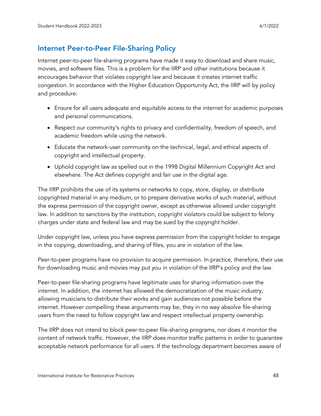# <span id="page-47-0"></span>Internet Peer-to-Peer File-Sharing Policy

Internet peer-to-peer file-sharing programs have made it easy to download and share music, movies, and software files. This is a problem for the IIRP and other institutions because it encourages behavior that violates copyright law and because it creates internet traffic congestion. In accordance with the Higher Education Opportunity Act, the IIRP will by policy and procedure:

- Ensure for all users adequate and equitable access to the internet for academic purposes and personal communications.
- Respect our community's rights to privacy and confidentiality, freedom of speech, and academic freedom while using the network.
- Educate the network-user community on the technical, legal, and ethical aspects of copyright and intellectual property.
- Uphold copyright law as spelled out in the 1998 Digital Millennium Copyright Act and elsewhere. The Act defines copyright and fair use in the digital age.

The IIRP prohibits the use of its systems or networks to copy, store, display, or distribute copyrighted material in any medium, or to prepare derivative works of such material, without the express permission of the copyright owner, except as otherwise allowed under copyright law. In addition to sanctions by the institution, copyright violators could be subject to felony charges under state and federal law and may be sued by the copyright holder.

Under copyright law, unless you have express permission from the copyright holder to engage in the copying, downloading, and sharing of files, you are in violation of the law.

Peer-to-peer programs have no provision to acquire permission. In practice, therefore, their use for downloading music and movies may put you in violation of the IIRP's policy and the law.

Peer-to-peer file-sharing programs have legitimate uses for sharing information over the internet. In addition, the internet has allowed the democratization of the music industry, allowing musicians to distribute their works and gain audiences not possible before the internet. However compelling these arguments may be, they in no way absolve file-sharing users from the need to follow copyright law and respect intellectual property ownership.

The IIRP does not intend to block peer-to-peer file-sharing programs, nor does it monitor the content of network traffic. However, the IIRP does monitor traffic patterns in order to guarantee acceptable network performance for all users. If the technology department becomes aware of